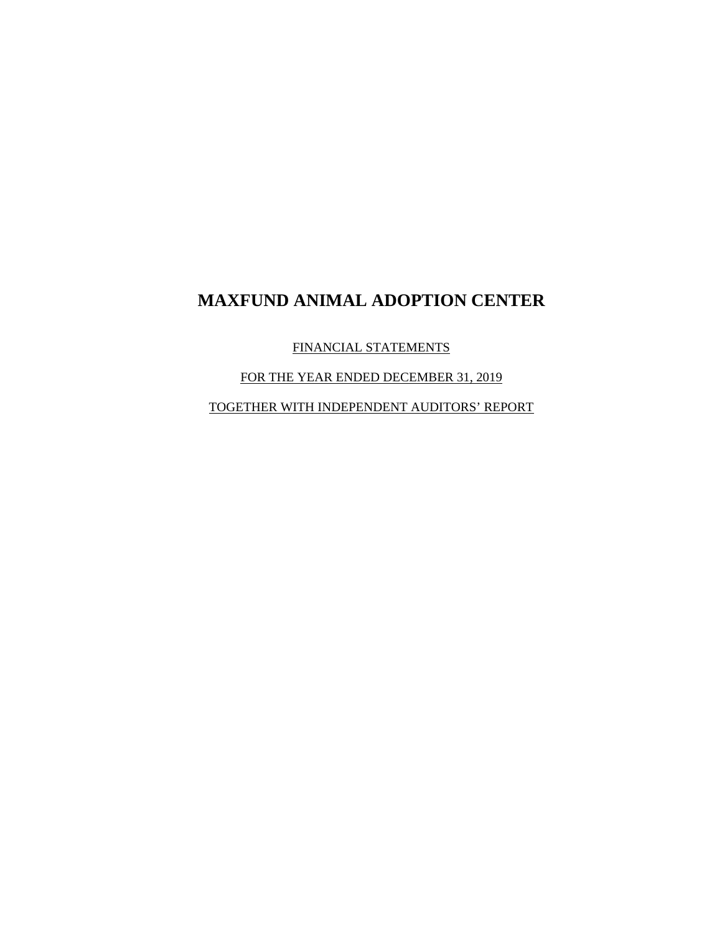FINANCIAL STATEMENTS

FOR THE YEAR ENDED DECEMBER 31, 2019

TOGETHER WITH INDEPENDENT AUDITORS' REPORT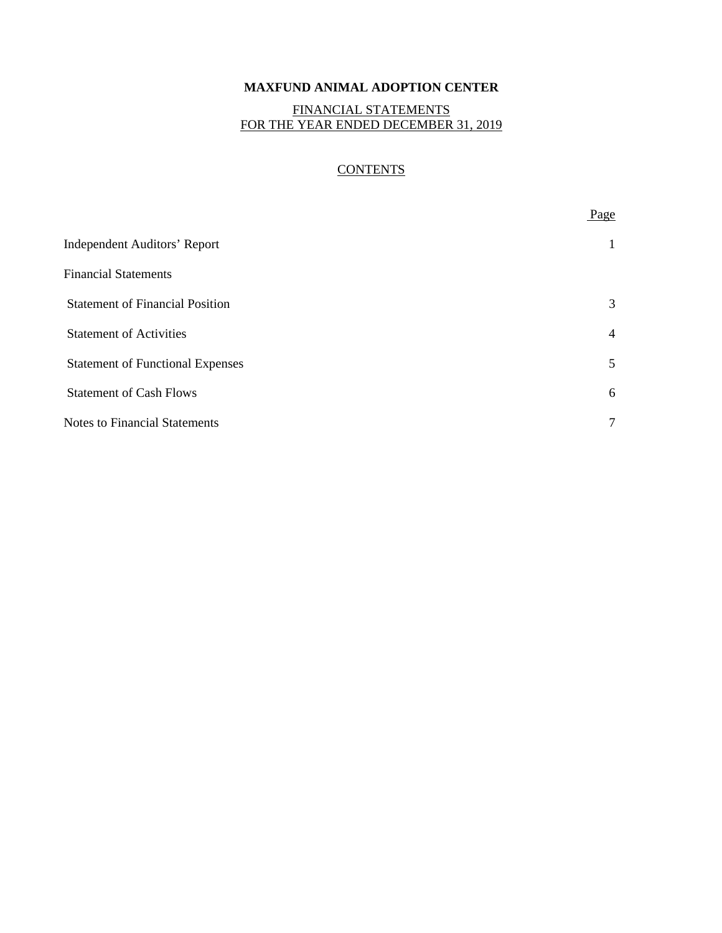#### FINANCIAL STATEMENTS FOR THE YEAR ENDED DECEMBER 31, 2019

# **CONTENTS**

|                                         | Page           |
|-----------------------------------------|----------------|
| <b>Independent Auditors' Report</b>     | $\mathbf{1}$   |
| <b>Financial Statements</b>             |                |
| <b>Statement of Financial Position</b>  | 3              |
| <b>Statement of Activities</b>          | $\overline{4}$ |
| <b>Statement of Functional Expenses</b> | 5              |
| <b>Statement of Cash Flows</b>          | 6              |
| <b>Notes to Financial Statements</b>    | 7              |
|                                         |                |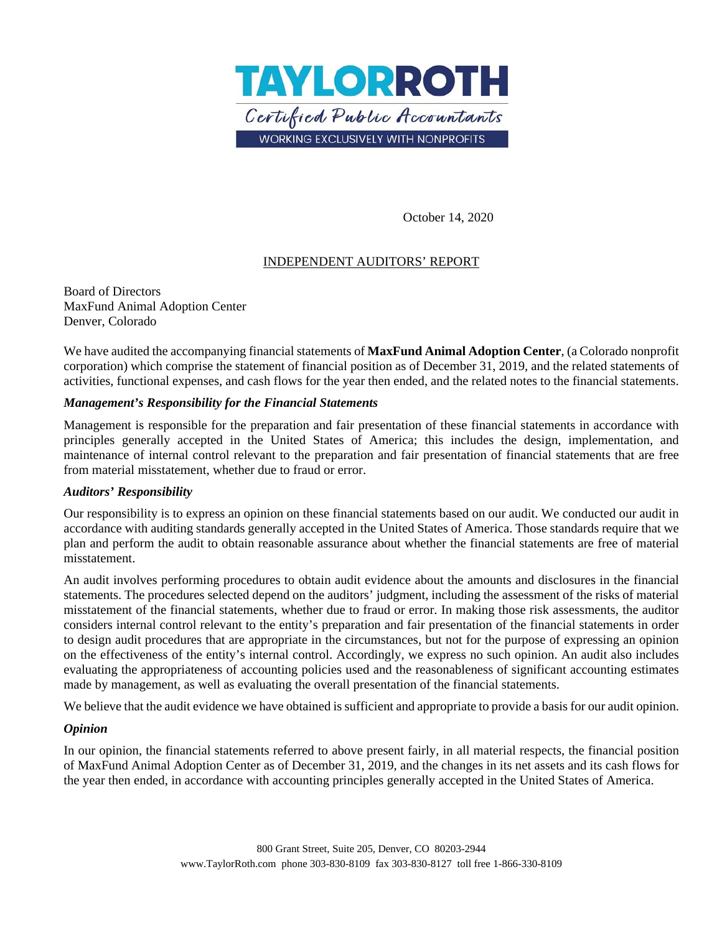

October 14, 2020

### INDEPENDENT AUDITORS' REPORT

Board of Directors MaxFund Animal Adoption Center Denver, Colorado

We have audited the accompanying financial statements of **MaxFund Animal Adoption Center**, (a Colorado nonprofit corporation) which comprise the statement of financial position as of December 31, 2019, and the related statements of activities, functional expenses, and cash flows for the year then ended, and the related notes to the financial statements.

#### *Management's Responsibility for the Financial Statements*

Management is responsible for the preparation and fair presentation of these financial statements in accordance with principles generally accepted in the United States of America; this includes the design, implementation, and maintenance of internal control relevant to the preparation and fair presentation of financial statements that are free from material misstatement, whether due to fraud or error.

#### *Auditors' Responsibility*

Our responsibility is to express an opinion on these financial statements based on our audit. We conducted our audit in accordance with auditing standards generally accepted in the United States of America. Those standards require that we plan and perform the audit to obtain reasonable assurance about whether the financial statements are free of material misstatement.

An audit involves performing procedures to obtain audit evidence about the amounts and disclosures in the financial statements. The procedures selected depend on the auditors' judgment, including the assessment of the risks of material misstatement of the financial statements, whether due to fraud or error. In making those risk assessments, the auditor considers internal control relevant to the entity's preparation and fair presentation of the financial statements in order to design audit procedures that are appropriate in the circumstances, but not for the purpose of expressing an opinion on the effectiveness of the entity's internal control. Accordingly, we express no such opinion. An audit also includes evaluating the appropriateness of accounting policies used and the reasonableness of significant accounting estimates made by management, as well as evaluating the overall presentation of the financial statements.

We believe that the audit evidence we have obtained is sufficient and appropriate to provide a basis for our audit opinion.

#### *Opinion*

In our opinion, the financial statements referred to above present fairly, in all material respects, the financial position of MaxFund Animal Adoption Center as of December 31, 2019, and the changes in its net assets and its cash flows for the year then ended, in accordance with accounting principles generally accepted in the United States of America.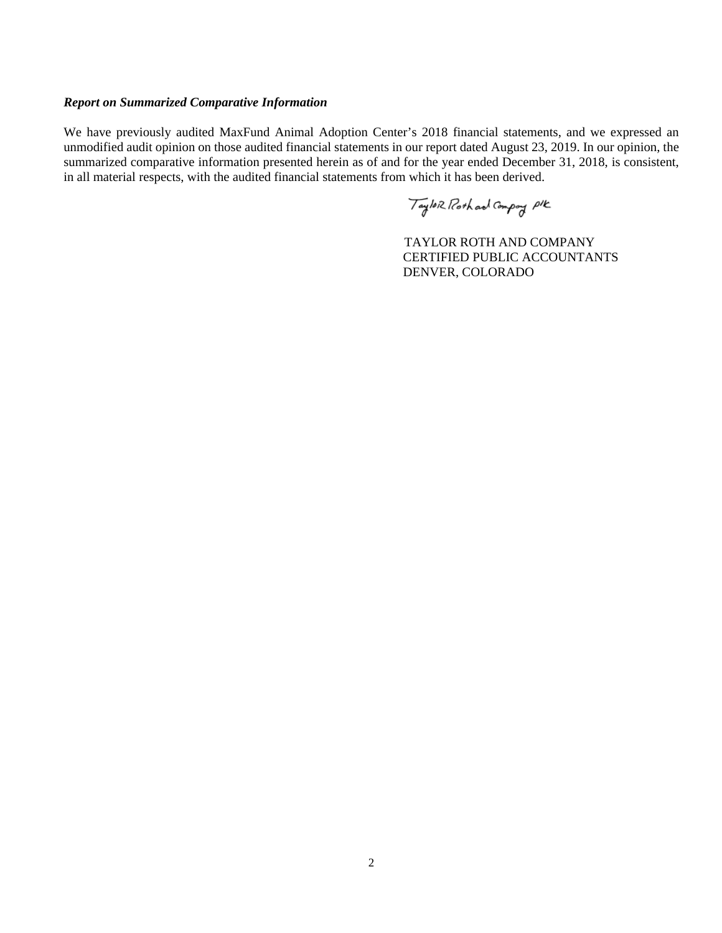#### *Report on Summarized Comparative Information*

We have previously audited MaxFund Animal Adoption Center's 2018 financial statements, and we expressed an unmodified audit opinion on those audited financial statements in our report dated August 23, 2019. In our opinion, the summarized comparative information presented herein as of and for the year ended December 31, 2018, is consistent, in all material respects, with the audited financial statements from which it has been derived.

Tayloi2 Poth and Compay PIK

 TAYLOR ROTH AND COMPANY CERTIFIED PUBLIC ACCOUNTANTS DENVER, COLORADO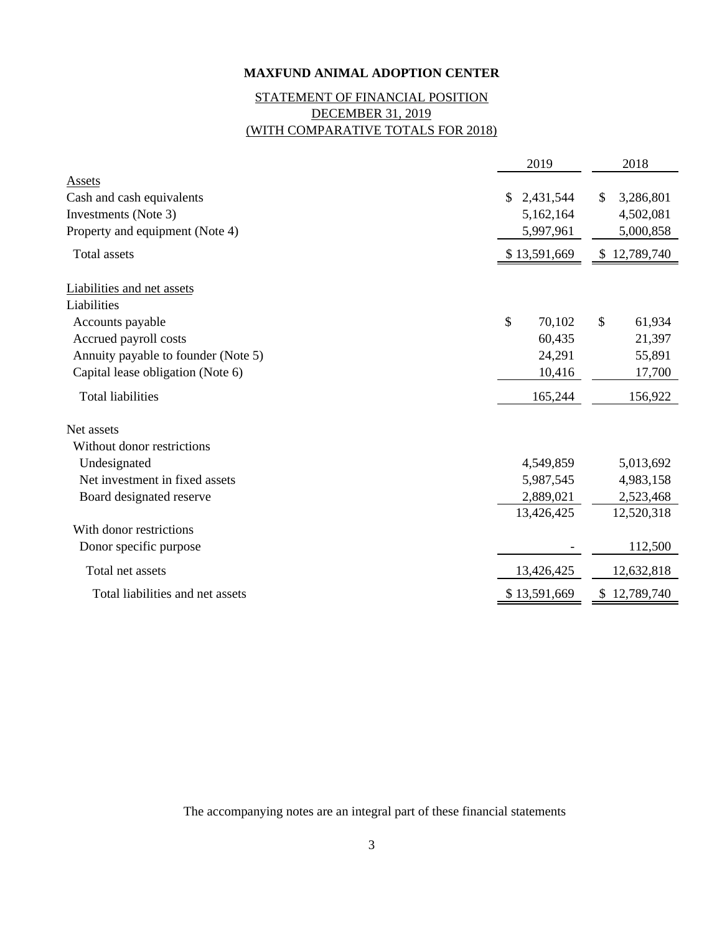# STATEMENT OF FINANCIAL POSITION DECEMBER 31, 2019 (WITH COMPARATIVE TOTALS FOR 2018)

|                                     | 2019            | 2018             |
|-------------------------------------|-----------------|------------------|
| Assets                              |                 |                  |
| Cash and cash equivalents           | 2,431,544<br>\$ | 3,286,801<br>\$  |
| Investments (Note 3)                | 5,162,164       | 4,502,081        |
| Property and equipment (Note 4)     | 5,997,961       | 5,000,858        |
| <b>Total assets</b>                 | \$13,591,669    | \$12,789,740     |
| Liabilities and net assets          |                 |                  |
| Liabilities                         |                 |                  |
| Accounts payable                    | \$<br>70,102    | \$<br>61,934     |
| Accrued payroll costs               | 60,435          | 21,397           |
| Annuity payable to founder (Note 5) | 24,291          | 55,891           |
| Capital lease obligation (Note 6)   | 10,416          | 17,700           |
| <b>Total liabilities</b>            | 165,244         | 156,922          |
| Net assets                          |                 |                  |
| Without donor restrictions          |                 |                  |
| Undesignated                        | 4,549,859       | 5,013,692        |
| Net investment in fixed assets      | 5,987,545       | 4,983,158        |
| Board designated reserve            | 2,889,021       | 2,523,468        |
|                                     | 13,426,425      | 12,520,318       |
| With donor restrictions             |                 |                  |
| Donor specific purpose              |                 | 112,500          |
| Total net assets                    | 13,426,425      | 12,632,818       |
| Total liabilities and net assets    | \$13,591,669    | 12,789,740<br>P. |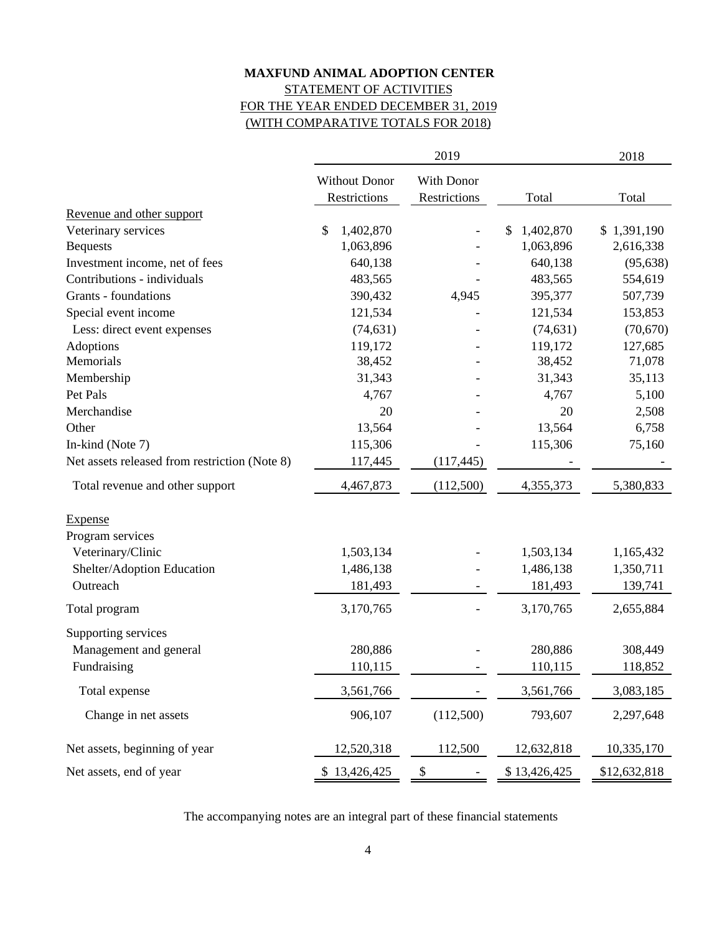# **MAXFUND ANIMAL ADOPTION CENTER** STATEMENT OF ACTIVITIES FOR THE YEAR ENDED DECEMBER 31, 2019 (WITH COMPARATIVE TOTALS FOR 2018)

|                                               |                                      | 2019                       |                  | 2018         |
|-----------------------------------------------|--------------------------------------|----------------------------|------------------|--------------|
|                                               | <b>Without Donor</b><br>Restrictions | With Donor<br>Restrictions | Total            | Total        |
| Revenue and other support                     |                                      |                            |                  |              |
| Veterinary services                           | \$<br>1,402,870                      |                            | 1,402,870<br>\$. | \$1,391,190  |
| <b>Bequests</b>                               | 1,063,896                            |                            | 1,063,896        | 2,616,338    |
| Investment income, net of fees                | 640,138                              |                            | 640,138          | (95, 638)    |
| Contributions - individuals                   | 483,565                              |                            | 483,565          | 554,619      |
| Grants - foundations                          | 390,432                              | 4,945                      | 395,377          | 507,739      |
| Special event income                          | 121,534                              |                            | 121,534          | 153,853      |
| Less: direct event expenses                   | (74, 631)                            |                            | (74, 631)        | (70,670)     |
| Adoptions                                     | 119,172                              |                            | 119,172          | 127,685      |
| Memorials                                     | 38,452                               |                            | 38,452           | 71,078       |
| Membership                                    | 31,343                               |                            | 31,343           | 35,113       |
| Pet Pals                                      | 4,767                                |                            | 4,767            | 5,100        |
| Merchandise                                   | 20                                   |                            | 20               | 2,508        |
| Other                                         | 13,564                               |                            | 13,564           | 6,758        |
| In-kind (Note 7)                              | 115,306                              |                            | 115,306          | 75,160       |
| Net assets released from restriction (Note 8) | 117,445                              | (117, 445)                 |                  |              |
| Total revenue and other support               | 4,467,873                            | (112,500)                  | 4,355,373        | 5,380,833    |
| <b>Expense</b>                                |                                      |                            |                  |              |
| Program services                              |                                      |                            |                  |              |
| Veterinary/Clinic                             | 1,503,134                            |                            | 1,503,134        | 1,165,432    |
| Shelter/Adoption Education                    | 1,486,138                            |                            | 1,486,138        | 1,350,711    |
| Outreach                                      | 181,493                              |                            | 181,493          | 139,741      |
| Total program                                 | 3,170,765                            |                            | 3,170,765        | 2,655,884    |
| Supporting services                           |                                      |                            |                  |              |
| Management and general                        | 280,886                              |                            | 280,886          | 308,449      |
| Fundraising                                   | 110,115                              |                            | 110,115          | 118,852      |
| Total expense                                 | 3,561,766                            |                            | 3,561,766        | 3,083,185    |
| Change in net assets                          | 906,107                              | (112,500)                  | 793,607          | 2,297,648    |
| Net assets, beginning of year                 | 12,520,318                           | 112,500                    | 12,632,818       | 10,335,170   |
| Net assets, end of year                       | \$13,426,425                         | $\boldsymbol{\mathsf{S}}$  | \$13,426,425     | \$12,632,818 |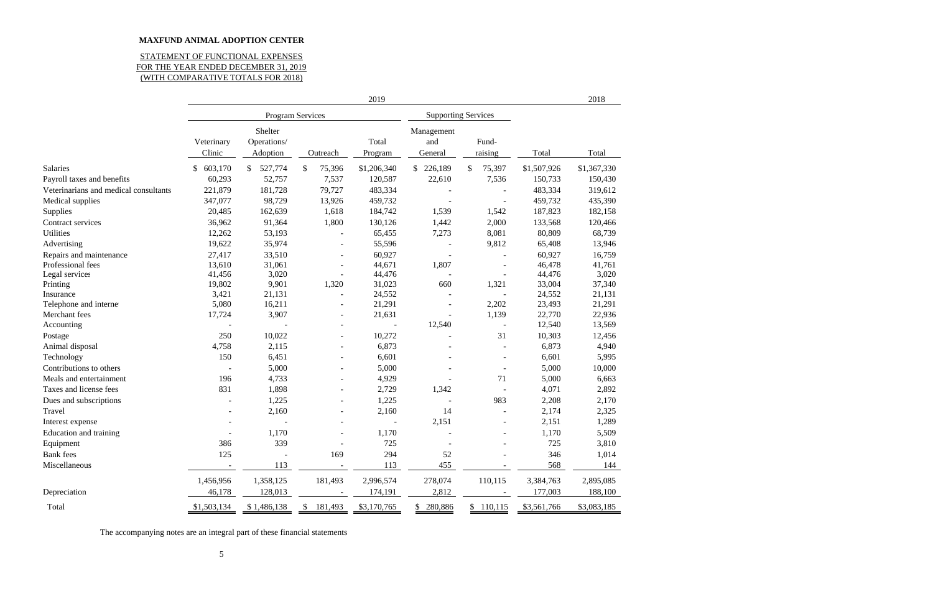|                                       | 2019                                           |                                    |                          |                  | 2018                         |                          |             |             |
|---------------------------------------|------------------------------------------------|------------------------------------|--------------------------|------------------|------------------------------|--------------------------|-------------|-------------|
|                                       | Program Services<br><b>Supporting Services</b> |                                    |                          |                  |                              |                          |             |             |
|                                       | Veterinary<br>Clinic                           | Shelter<br>Operations/<br>Adoption | Outreach                 | Total<br>Program | Management<br>and<br>General | Fund-<br>raising         | Total       | Total       |
| Salaries                              | 603,170<br>\$                                  | 527,774<br>\$                      | \$<br>75,396             | \$1,206,340      | 226,189<br>\$                | \$<br>75,397             | \$1,507,926 | \$1,367,330 |
| Payroll taxes and benefits            | 60,293                                         | 52,757                             | 7,537                    | 120,587          | 22,610                       | 7,536                    | 150,733     | 150,430     |
| Veterinarians and medical consultants | 221,879                                        | 181,728                            | 79,727                   | 483,334          |                              |                          | 483,334     | 319,612     |
| Medical supplies                      | 347,077                                        | 98,729                             | 13,926                   | 459,732          |                              |                          | 459,732     | 435,390     |
| Supplies                              | 20,485                                         | 162,639                            | 1,618                    | 184,742          | 1,539                        | 1,542                    | 187,823     | 182,158     |
| Contract services                     | 36,962                                         | 91,364                             | 1,800                    | 130,126          | 1,442                        | 2,000                    | 133,568     | 120,466     |
| <b>Utilities</b>                      | 12,262                                         | 53,193                             |                          | 65,455           | 7,273                        | 8,081                    | 80,809      | 68,739      |
| Advertising                           | 19,622                                         | 35,974                             |                          | 55,596           |                              | 9,812                    | 65,408      | 13,946      |
| Repairs and maintenance               | 27,417                                         | 33,510                             |                          | 60,927           |                              |                          | 60,927      | 16,759      |
| Professional fees                     | 13,610                                         | 31,061                             |                          | 44,671           | 1,807                        |                          | 46,478      | 41,761      |
| Legal services                        | 41,456                                         | 3,020                              |                          | 44,476           |                              |                          | 44,476      | 3,020       |
| Printing                              | 19,802                                         | 9,901                              | 1,320                    | 31,023           | 660                          | 1,321                    | 33,004      | 37,340      |
| Insurance                             | 3,421                                          | 21,131                             |                          | 24,552           |                              |                          | 24,552      | 21,131      |
| Telephone and interne                 | 5,080                                          | 16,211                             | $\overline{\phantom{a}}$ | 21,291           |                              | 2,202                    | 23,493      | 21,291      |
| Merchant fees                         | 17,724                                         | 3,907                              | $\overline{\phantom{a}}$ | 21,631           |                              | 1,139                    | 22,770      | 22,936      |
| Accounting                            |                                                |                                    |                          |                  | 12,540                       |                          | 12,540      | 13,569      |
| Postage                               | 250                                            | 10,022                             |                          | 10,272           |                              | 31                       | 10,303      | 12,456      |
| Animal disposal                       | 4,758                                          | 2,115                              |                          | 6,873            |                              |                          | 6,873       | 4,940       |
| Technology                            | 150                                            | 6,451                              |                          | 6,601            |                              |                          | 6,601       | 5,995       |
| Contributions to others               |                                                | 5,000                              |                          | 5,000            |                              |                          | 5,000       | 10,000      |
| Meals and entertainment               | 196                                            | 4,733                              | $\overline{\phantom{a}}$ | 4,929            |                              | 71                       | 5,000       | 6,663       |
| Taxes and license fees                | 831                                            | 1,898                              | $\blacksquare$           | 2,729            | 1,342                        |                          | 4,071       | 2,892       |
| Dues and subscriptions                |                                                | 1,225                              |                          | 1,225            |                              | 983                      | 2,208       | 2,170       |
| Travel                                |                                                | 2,160                              |                          | 2,160            | 14                           |                          | 2,174       | 2,325       |
| Interest expense                      |                                                |                                    |                          |                  | 2,151                        | $\overline{\phantom{a}}$ | 2,151       | 1,289       |
| <b>Education and training</b>         |                                                | 1,170                              |                          | 1,170            |                              |                          | 1,170       | 5,509       |
| Equipment                             | 386                                            | 339                                |                          | 725              |                              |                          | 725         | 3,810       |
| <b>Bank</b> fees                      | 125                                            |                                    | 169                      | 294              | 52                           |                          | 346         | 1,014       |
| Miscellaneous                         | $\overline{\phantom{a}}$                       | 113                                |                          | 113              | 455                          |                          | 568         | 144         |
|                                       | 1,456,956                                      | 1,358,125                          | 181,493                  | 2,996,574        | 278,074                      | 110,115                  | 3,384,763   | 2,895,085   |
| Depreciation                          | 46,178                                         | 128,013                            |                          | 174,191          | 2,812                        |                          | 177,003     | 188,100     |
| Total                                 | \$1,503,134                                    | \$1,486,138                        | 181,493<br>\$            | \$3,170,765      | 280,886<br>\$                | \$110,115                | \$3,561,766 | \$3,083,185 |

### STATEMENT OF FUNCTIONAL EXPENSES FOR THE YEAR ENDED DECEMBER 31, 2019 (WITH COMPARATIVE TOTALS FOR 2018)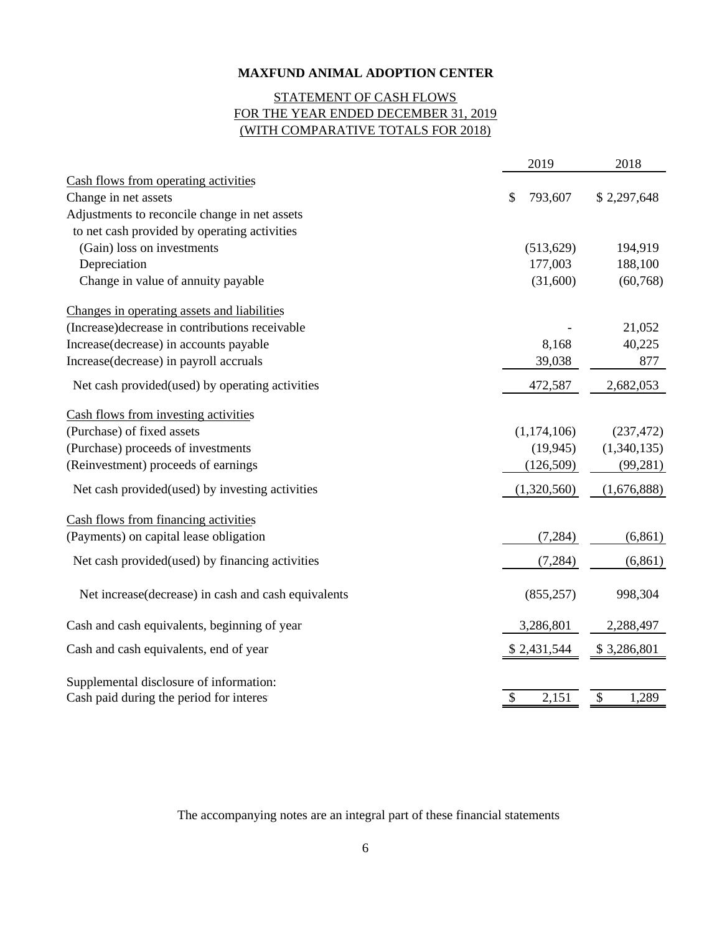# STATEMENT OF CASH FLOWS FOR THE YEAR ENDED DECEMBER 31, 2019 (WITH COMPARATIVE TOTALS FOR 2018)

|                                                      | 2019            | 2018                               |
|------------------------------------------------------|-----------------|------------------------------------|
| Cash flows from operating activities                 |                 |                                    |
| Change in net assets                                 | \$<br>793,607   | \$2,297,648                        |
| Adjustments to reconcile change in net assets        |                 |                                    |
| to net cash provided by operating activities         |                 |                                    |
| (Gain) loss on investments                           | (513, 629)      | 194,919                            |
| Depreciation                                         | 177,003         | 188,100                            |
| Change in value of annuity payable                   | (31,600)        | (60, 768)                          |
| Changes in operating assets and liabilities          |                 |                                    |
| (Increase) decrease in contributions receivable      |                 | 21,052                             |
| Increase(decrease) in accounts payable               | 8,168           | 40,225                             |
| Increase(decrease) in payroll accruals               | 39,038          | 877                                |
| Net cash provided (used) by operating activities     | 472,587         | 2,682,053                          |
| Cash flows from investing activities                 |                 |                                    |
| (Purchase) of fixed assets                           | (1,174,106)     | (237, 472)                         |
| (Purchase) proceeds of investments                   | (19, 945)       | (1,340,135)                        |
| (Reinvestment) proceeds of earnings                  | (126, 509)      | (99, 281)                          |
| Net cash provided (used) by investing activities     | (1,320,560)     | (1,676,888)                        |
| Cash flows from financing activities                 |                 |                                    |
| (Payments) on capital lease obligation               | (7,284)         | (6, 861)                           |
| Net cash provided (used) by financing activities     | (7, 284)        | (6, 861)                           |
| Net increase (decrease) in cash and cash equivalents | (855, 257)      | 998,304                            |
| Cash and cash equivalents, beginning of year         | 3,286,801       | 2,288,497                          |
| Cash and cash equivalents, end of year               | \$2,431,544     | \$3,286,801                        |
| Supplemental disclosure of information:              |                 |                                    |
| Cash paid during the period for interes              | $\$\,$<br>2,151 | $\boldsymbol{\mathsf{S}}$<br>1,289 |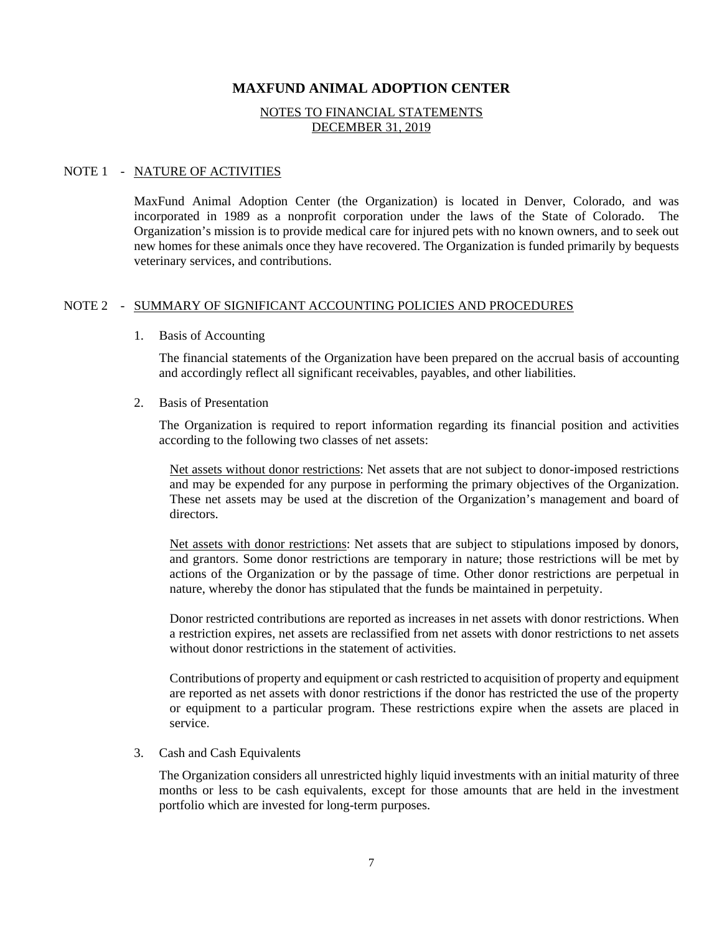#### NOTES TO FINANCIAL STATEMENTS DECEMBER 31, 2019

#### NOTE 1 - NATURE OF ACTIVITIES

MaxFund Animal Adoption Center (the Organization) is located in Denver, Colorado, and was incorporated in 1989 as a nonprofit corporation under the laws of the State of Colorado. The Organization's mission is to provide medical care for injured pets with no known owners, and to seek out new homes for these animals once they have recovered. The Organization is funded primarily by bequests veterinary services, and contributions.

#### NOTE 2 - SUMMARY OF SIGNIFICANT ACCOUNTING POLICIES AND PROCEDURES

#### 1. Basis of Accounting

The financial statements of the Organization have been prepared on the accrual basis of accounting and accordingly reflect all significant receivables, payables, and other liabilities.

#### 2. Basis of Presentation

The Organization is required to report information regarding its financial position and activities according to the following two classes of net assets:

Net assets without donor restrictions: Net assets that are not subject to donor-imposed restrictions and may be expended for any purpose in performing the primary objectives of the Organization. These net assets may be used at the discretion of the Organization's management and board of directors.

Net assets with donor restrictions: Net assets that are subject to stipulations imposed by donors, and grantors. Some donor restrictions are temporary in nature; those restrictions will be met by actions of the Organization or by the passage of time. Other donor restrictions are perpetual in nature, whereby the donor has stipulated that the funds be maintained in perpetuity.

Donor restricted contributions are reported as increases in net assets with donor restrictions. When a restriction expires, net assets are reclassified from net assets with donor restrictions to net assets without donor restrictions in the statement of activities.

Contributions of property and equipment or cash restricted to acquisition of property and equipment are reported as net assets with donor restrictions if the donor has restricted the use of the property or equipment to a particular program. These restrictions expire when the assets are placed in service.

#### 3. Cash and Cash Equivalents

The Organization considers all unrestricted highly liquid investments with an initial maturity of three months or less to be cash equivalents, except for those amounts that are held in the investment portfolio which are invested for long-term purposes.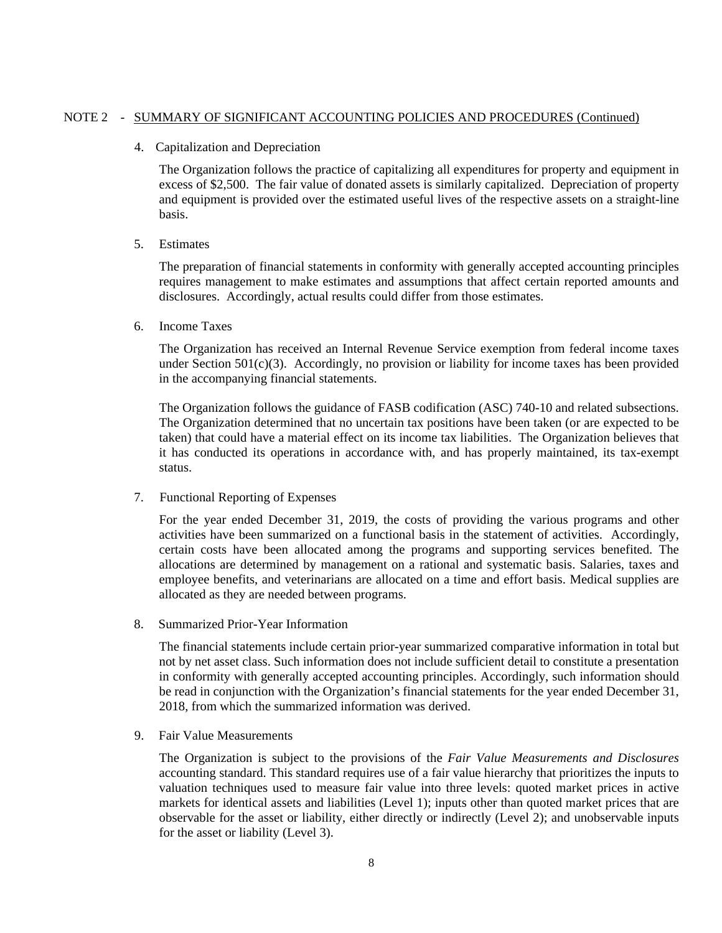#### NOTE 2 - SUMMARY OF SIGNIFICANT ACCOUNTING POLICIES AND PROCEDURES (Continued)

4. Capitalization and Depreciation

The Organization follows the practice of capitalizing all expenditures for property and equipment in excess of \$2,500. The fair value of donated assets is similarly capitalized. Depreciation of property and equipment is provided over the estimated useful lives of the respective assets on a straight-line basis.

5. Estimates

The preparation of financial statements in conformity with generally accepted accounting principles requires management to make estimates and assumptions that affect certain reported amounts and disclosures. Accordingly, actual results could differ from those estimates.

6. Income Taxes

The Organization has received an Internal Revenue Service exemption from federal income taxes under Section 501(c)(3). Accordingly, no provision or liability for income taxes has been provided in the accompanying financial statements.

The Organization follows the guidance of FASB codification (ASC) 740-10 and related subsections. The Organization determined that no uncertain tax positions have been taken (or are expected to be taken) that could have a material effect on its income tax liabilities. The Organization believes that it has conducted its operations in accordance with, and has properly maintained, its tax-exempt status.

7. Functional Reporting of Expenses

For the year ended December 31, 2019, the costs of providing the various programs and other activities have been summarized on a functional basis in the statement of activities. Accordingly, certain costs have been allocated among the programs and supporting services benefited. The allocations are determined by management on a rational and systematic basis. Salaries, taxes and employee benefits, and veterinarians are allocated on a time and effort basis. Medical supplies are allocated as they are needed between programs.

8. Summarized Prior-Year Information

The financial statements include certain prior-year summarized comparative information in total but not by net asset class. Such information does not include sufficient detail to constitute a presentation in conformity with generally accepted accounting principles. Accordingly, such information should be read in conjunction with the Organization's financial statements for the year ended December 31, 2018, from which the summarized information was derived.

9. Fair Value Measurements

The Organization is subject to the provisions of the *Fair Value Measurements and Disclosures* accounting standard. This standard requires use of a fair value hierarchy that prioritizes the inputs to valuation techniques used to measure fair value into three levels: quoted market prices in active markets for identical assets and liabilities (Level 1); inputs other than quoted market prices that are observable for the asset or liability, either directly or indirectly (Level 2); and unobservable inputs for the asset or liability (Level 3).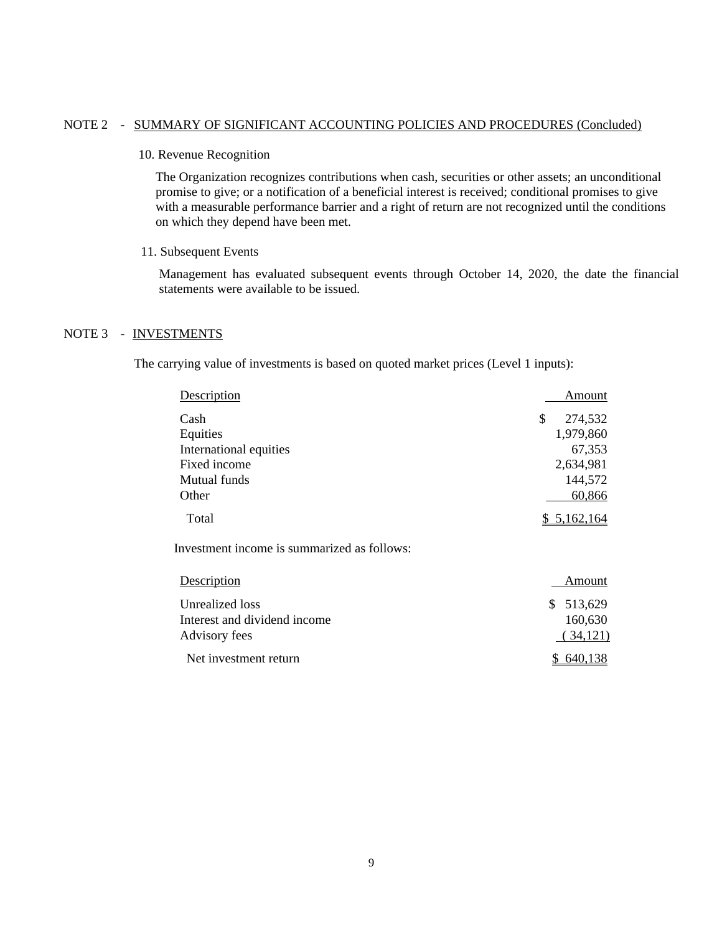#### NOTE 2 - SUMMARY OF SIGNIFICANT ACCOUNTING POLICIES AND PROCEDURES (Concluded)

10. Revenue Recognition

The Organization recognizes contributions when cash, securities or other assets; an unconditional promise to give; or a notification of a beneficial interest is received; conditional promises to give with a measurable performance barrier and a right of return are not recognized until the conditions on which they depend have been met.

#### 11. Subsequent Events

Management has evaluated subsequent events through October 14, 2020, the date the financial statements were available to be issued.

#### NOTE 3 - INVESTMENTS

The carrying value of investments is based on quoted market prices (Level 1 inputs):

| Description                                 | Amount         |
|---------------------------------------------|----------------|
| Cash                                        | \$<br>274,532  |
| Equities                                    | 1,979,860      |
| International equities                      | 67,353         |
| Fixed income                                | 2,634,981      |
| Mutual funds                                | 144,572        |
| Other                                       | 60,866         |
| Total                                       | \$5,162,164    |
| Investment income is summarized as follows: |                |
| Description                                 | Amount         |
| Unrealized loss                             | 513,629<br>\$. |
| Interest and dividend income                | 160,630        |
| Advisory fees                               | 34,121)        |
| Net investment return                       | 640.138        |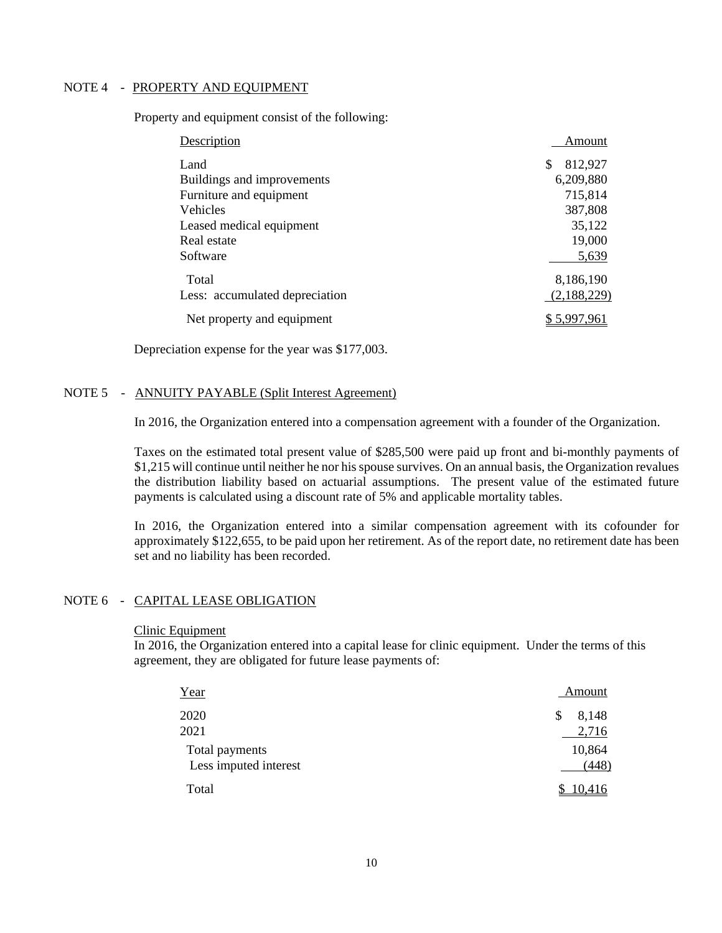#### NOTE 4 - PROPERTY AND EQUIPMENT

Property and equipment consist of the following:

| Description                    | Amount        |
|--------------------------------|---------------|
| Land                           | 812,927<br>\$ |
| Buildings and improvements     | 6,209,880     |
| Furniture and equipment        | 715,814       |
| Vehicles                       | 387,808       |
| Leased medical equipment       | 35,122        |
| Real estate                    | 19,000        |
| Software                       | 5,639         |
| Total                          | 8,186,190     |
| Less: accumulated depreciation | (2,188,229)   |
| Net property and equipment     | \$ 5.997.961  |

Depreciation expense for the year was \$177,003.

#### NOTE 5 - ANNUITY PAYABLE (Split Interest Agreement)

In 2016, the Organization entered into a compensation agreement with a founder of the Organization.

Taxes on the estimated total present value of \$285,500 were paid up front and bi-monthly payments of \$1,215 will continue until neither he nor his spouse survives. On an annual basis, the Organization revalues the distribution liability based on actuarial assumptions. The present value of the estimated future payments is calculated using a discount rate of 5% and applicable mortality tables.

In 2016, the Organization entered into a similar compensation agreement with its cofounder for approximately \$122,655, to be paid upon her retirement. As of the report date, no retirement date has been set and no liability has been recorded.

#### NOTE 6 - CAPITAL LEASE OBLIGATION

#### Clinic Equipment

In 2016, the Organization entered into a capital lease for clinic equipment. Under the terms of this agreement, they are obligated for future lease payments of:

| Year                  | Amount     |
|-----------------------|------------|
| 2020                  | 8,148<br>S |
| 2021                  | 2,716      |
| Total payments        | 10,864     |
| Less imputed interest | (448)      |
| Total                 | 10,416     |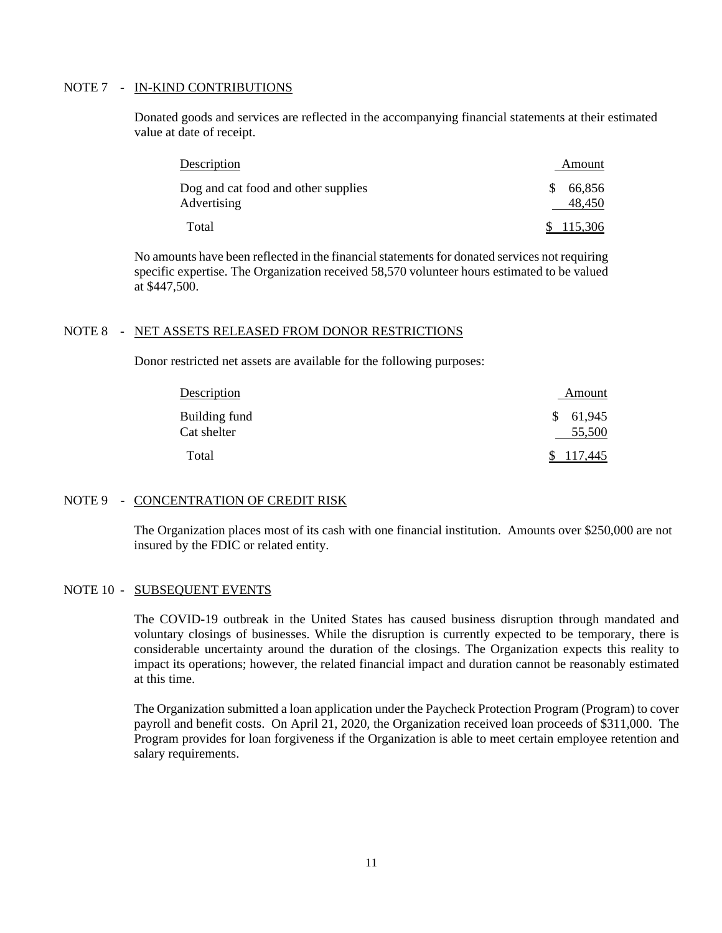#### NOTE 7 - IN-KIND CONTRIBUTIONS

Donated goods and services are reflected in the accompanying financial statements at their estimated value at date of receipt.

| Description                                        | Amount           |
|----------------------------------------------------|------------------|
| Dog and cat food and other supplies<br>Advertising | 66,856<br>48,450 |
| Total                                              | 115,306          |

No amounts have been reflected in the financial statements for donated services not requiring specific expertise. The Organization received 58,570 volunteer hours estimated to be valued at \$447,500.

#### NOTE 8 - NET ASSETS RELEASED FROM DONOR RESTRICTIONS

Donor restricted net assets are available for the following purposes:

| Description                  | Amount                 |
|------------------------------|------------------------|
| Building fund<br>Cat shelter | 61,945<br>S.<br>55,500 |
| Total                        | \$117,445              |

#### NOTE 9 - CONCENTRATION OF CREDIT RISK

The Organization places most of its cash with one financial institution. Amounts over \$250,000 are not insured by the FDIC or related entity.

#### NOTE 10 - SUBSEQUENT EVENTS

The COVID-19 outbreak in the United States has caused business disruption through mandated and voluntary closings of businesses. While the disruption is currently expected to be temporary, there is considerable uncertainty around the duration of the closings. The Organization expects this reality to impact its operations; however, the related financial impact and duration cannot be reasonably estimated at this time.

The Organization submitted a loan application under the Paycheck Protection Program (Program) to cover payroll and benefit costs. On April 21, 2020, the Organization received loan proceeds of \$311,000. The Program provides for loan forgiveness if the Organization is able to meet certain employee retention and salary requirements.